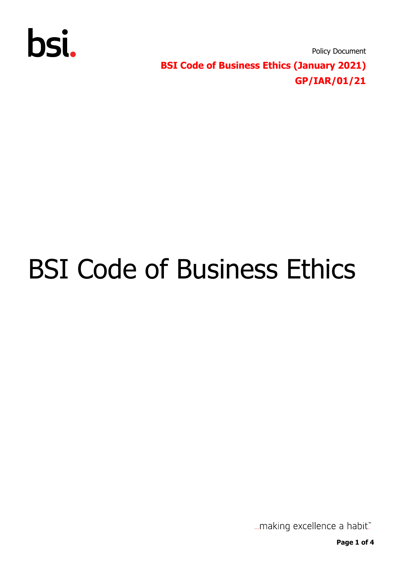

Policy Document **BSI Code of Business Ethics (January 2021) GP/IAR/01/21**

## BSI Code of Business Ethics

... making excellence a habit."

**Page 1 of 4**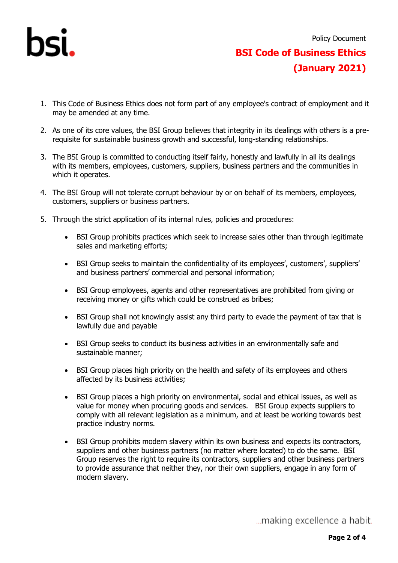

- 1. This Code of Business Ethics does not form part of any employee's contract of employment and it may be amended at any time.
- 2. As one of its core values, the BSI Group believes that integrity in its dealings with others is a prerequisite for sustainable business growth and successful, long-standing relationships.
- 3. The BSI Group is committed to conducting itself fairly, honestly and lawfully in all its dealings with its members, employees, customers, suppliers, business partners and the communities in which it operates.
- 4. The BSI Group will not tolerate corrupt behaviour by or on behalf of its members, employees, customers, suppliers or business partners.
- 5. Through the strict application of its internal rules, policies and procedures:
	- BSI Group prohibits practices which seek to increase sales other than through legitimate sales and marketing efforts;
	- BSI Group seeks to maintain the confidentiality of its employees', customers', suppliers' and business partners' commercial and personal information;
	- BSI Group employees, agents and other representatives are prohibited from giving or receiving money or gifts which could be construed as bribes;
	- BSI Group shall not knowingly assist any third party to evade the payment of tax that is lawfully due and payable
	- BSI Group seeks to conduct its business activities in an environmentally safe and sustainable manner;
	- BSI Group places high priority on the health and safety of its employees and others affected by its business activities;
	- BSI Group places a high priority on environmental, social and ethical issues, as well as value for money when procuring goods and services. BSI Group expects suppliers to comply with all relevant legislation as a minimum, and at least be working towards best practice industry norms.
	- BSI Group prohibits modern slavery within its own business and expects its contractors, suppliers and other business partners (no matter where located) to do the same. BSI Group reserves the right to require its contractors, suppliers and other business partners to provide assurance that neither they, nor their own suppliers, engage in any form of modern slavery.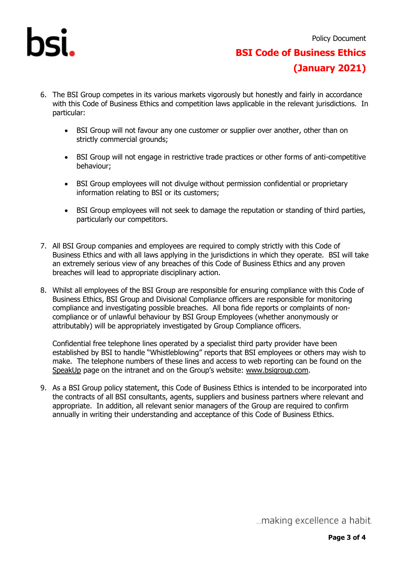

## **BSI Code of Business Ethics (January 2021)**

- 6. The BSI Group competes in its various markets vigorously but honestly and fairly in accordance with this Code of Business Ethics and competition laws applicable in the relevant jurisdictions. In particular:
	- BSI Group will not favour any one customer or supplier over another, other than on strictly commercial grounds;
	- BSI Group will not engage in restrictive trade practices or other forms of anti-competitive behaviour;
	- BSI Group employees will not divulge without permission confidential or proprietary information relating to BSI or its customers;
	- BSI Group employees will not seek to damage the reputation or standing of third parties, particularly our competitors.
- 7. All BSI Group companies and employees are required to comply strictly with this Code of Business Ethics and with all laws applying in the jurisdictions in which they operate. BSI will take an extremely serious view of any breaches of this Code of Business Ethics and any proven breaches will lead to appropriate disciplinary action.
- 8. Whilst all employees of the BSI Group are responsible for ensuring compliance with this Code of Business Ethics, BSI Group and Divisional Compliance officers are responsible for monitoring compliance and investigating possible breaches. All bona fide reports or complaints of noncompliance or of unlawful behaviour by BSI Group Employees (whether anonymously or attributably) will be appropriately investigated by Group Compliance officers.

Confidential free telephone lines operated by a specialist third party provider have been established by BSI to handle "Whistleblowing" reports that BSI employees or others may wish to make. The telephone numbers of these lines and access to web reporting can be found on the [SpeakUp](https://intranet.bsi-global.com/OurBSI/BusinessFunctions/ComplianceRisk/SpeakUp/SitePages/Home.aspx) page on the intranet and on the Group's website: [www.bsigroup.com.](http://www.bsigroup.com/)

9. As a BSI Group policy statement, this Code of Business Ethics is intended to be incorporated into the contracts of all BSI consultants, agents, suppliers and business partners where relevant and appropriate. In addition, all relevant senior managers of the Group are required to confirm annually in writing their understanding and acceptance of this Code of Business Ethics.